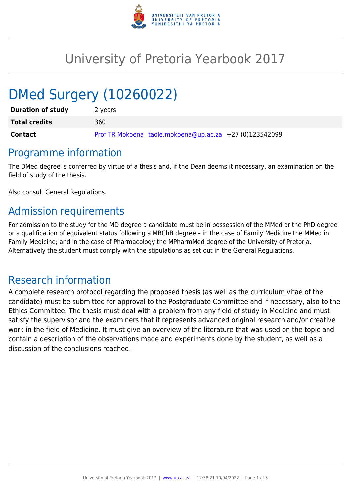

# University of Pretoria Yearbook 2017

# DMed Surgery (10260022)

| <b>Duration of study</b> | 2 years                                                 |
|--------------------------|---------------------------------------------------------|
| <b>Total credits</b>     | 360                                                     |
| <b>Contact</b>           | Prof TR Mokoena taole.mokoena@up.ac.za +27 (0)123542099 |

## Programme information

The DMed degree is conferred by virtue of a thesis and, if the Dean deems it necessary, an examination on the field of study of the thesis.

Also consult General Regulations.

# Admission requirements

For admission to the study for the MD degree a candidate must be in possession of the MMed or the PhD degree or a qualification of equivalent status following a MBChB degree – in the case of Family Medicine the MMed in Family Medicine; and in the case of Pharmacology the MPharmMed degree of the University of Pretoria. Alternatively the student must comply with the stipulations as set out in the General Regulations.

## Research information

A complete research protocol regarding the proposed thesis (as well as the curriculum vitae of the candidate) must be submitted for approval to the Postgraduate Committee and if necessary, also to the Ethics Committee. The thesis must deal with a problem from any field of study in Medicine and must satisfy the supervisor and the examiners that it represents advanced original research and/or creative work in the field of Medicine. It must give an overview of the literature that was used on the topic and contain a description of the observations made and experiments done by the student, as well as a discussion of the conclusions reached.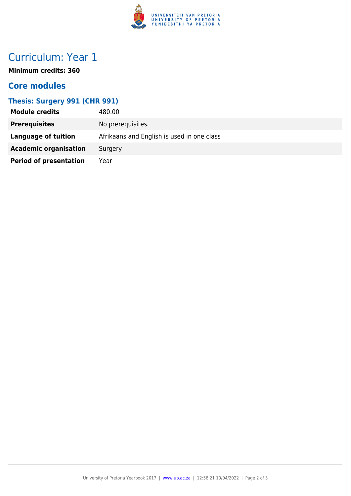

# Curriculum: Year 1

**Minimum credits: 360**

### **Core modules**

#### **Thesis: Surgery 991 (CHR 991)**

| <b>Module credits</b>         | 480.00                                     |
|-------------------------------|--------------------------------------------|
| <b>Prerequisites</b>          | No prerequisites.                          |
| Language of tuition           | Afrikaans and English is used in one class |
| <b>Academic organisation</b>  | Surgery                                    |
| <b>Period of presentation</b> | Year                                       |